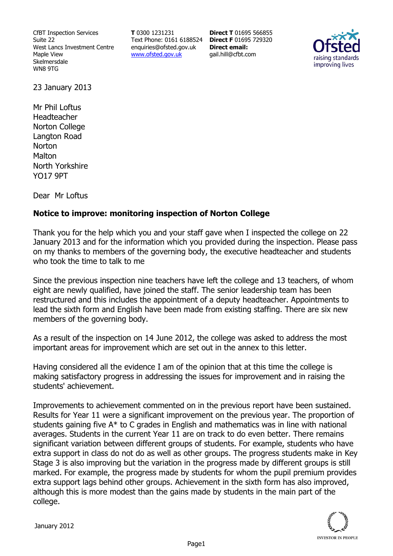CfBT Inspection Services Suite 22 West Lancs Investment Centre Maple View Skelmersdale WN8 9TG

**T** 0300 1231231 Text Phone: 0161 6188524 **Direct F** 01695 729320 enquiries@ofsted.gov.uk www.ofsted.gov.uk

**Direct T** 01695 566855 **Direct email:**  gail.hill@cfbt.com



23 January 2013

Mr Phil Loftus Headteacher Norton College Langton Road **Norton Malton** North Yorkshire YO17 9PT

Dear Mr Loftus

## **Notice to improve: monitoring inspection of Norton College**

Thank you for the help which you and your staff gave when I inspected the college on 22 January 2013 and for the information which you provided during the inspection. Please pass on my thanks to members of the governing body, the executive headteacher and students who took the time to talk to me

Since the previous inspection nine teachers have left the college and 13 teachers, of whom eight are newly qualified, have joined the staff. The senior leadership team has been restructured and this includes the appointment of a deputy headteacher. Appointments to lead the sixth form and English have been made from existing staffing. There are six new members of the governing body.

As a result of the inspection on 14 June 2012, the college was asked to address the most important areas for improvement which are set out in the annex to this letter.

Having considered all the evidence I am of the opinion that at this time the college is making satisfactory progress in addressing the issues for improvement and in raising the students' achievement.

Improvements to achievement commented on in the previous report have been sustained. Results for Year 11 were a significant improvement on the previous year. The proportion of students gaining five A\* to C grades in English and mathematics was in line with national averages. Students in the current Year 11 are on track to do even better. There remains significant variation between different groups of students. For example, students who have extra support in class do not do as well as other groups. The progress students make in Key Stage 3 is also improving but the variation in the progress made by different groups is still marked. For example, the progress made by students for whom the pupil premium provides extra support lags behind other groups. Achievement in the sixth form has also improved, although this is more modest than the gains made by students in the main part of the college.

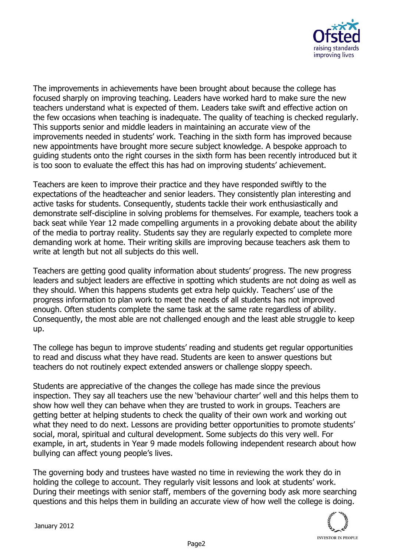

The improvements in achievements have been brought about because the college has focused sharply on improving teaching. Leaders have worked hard to make sure the new teachers understand what is expected of them. Leaders take swift and effective action on the few occasions when teaching is inadequate. The quality of teaching is checked regularly. This supports senior and middle leaders in maintaining an accurate view of the improvements needed in students' work. Teaching in the sixth form has improved because new appointments have brought more secure subject knowledge. A bespoke approach to guiding students onto the right courses in the sixth form has been recently introduced but it is too soon to evaluate the effect this has had on improving students' achievement.

Teachers are keen to improve their practice and they have responded swiftly to the expectations of the headteacher and senior leaders. They consistently plan interesting and active tasks for students. Consequently, students tackle their work enthusiastically and demonstrate self-discipline in solving problems for themselves. For example, teachers took a back seat while Year 12 made compelling arguments in a provoking debate about the ability of the media to portray reality. Students say they are regularly expected to complete more demanding work at home. Their writing skills are improving because teachers ask them to write at length but not all subjects do this well.

Teachers are getting good quality information about students' progress. The new progress leaders and subject leaders are effective in spotting which students are not doing as well as they should. When this happens students get extra help quickly. Teachers' use of the progress information to plan work to meet the needs of all students has not improved enough. Often students complete the same task at the same rate regardless of ability. Consequently, the most able are not challenged enough and the least able struggle to keep up.

The college has begun to improve students' reading and students get regular opportunities to read and discuss what they have read. Students are keen to answer questions but teachers do not routinely expect extended answers or challenge sloppy speech.

Students are appreciative of the changes the college has made since the previous inspection. They say all teachers use the new 'behaviour charter' well and this helps them to show how well they can behave when they are trusted to work in groups. Teachers are getting better at helping students to check the quality of their own work and working out what they need to do next. Lessons are providing better opportunities to promote students' social, moral, spiritual and cultural development. Some subjects do this very well. For example, in art, students in Year 9 made models following independent research about how bullying can affect young people's lives.

The governing body and trustees have wasted no time in reviewing the work they do in holding the college to account. They regularly visit lessons and look at students' work. During their meetings with senior staff, members of the governing body ask more searching questions and this helps them in building an accurate view of how well the college is doing.

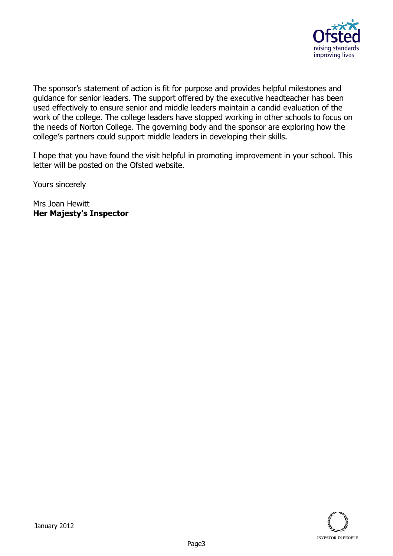

The sponsor's statement of action is fit for purpose and provides helpful milestones and guidance for senior leaders. The support offered by the executive headteacher has been used effectively to ensure senior and middle leaders maintain a candid evaluation of the work of the college. The college leaders have stopped working in other schools to focus on the needs of Norton College. The governing body and the sponsor are exploring how the college's partners could support middle leaders in developing their skills.

I hope that you have found the visit helpful in promoting improvement in your school. This letter will be posted on the Ofsted website.

Yours sincerely

Mrs Joan Hewitt **Her Majesty's Inspector**